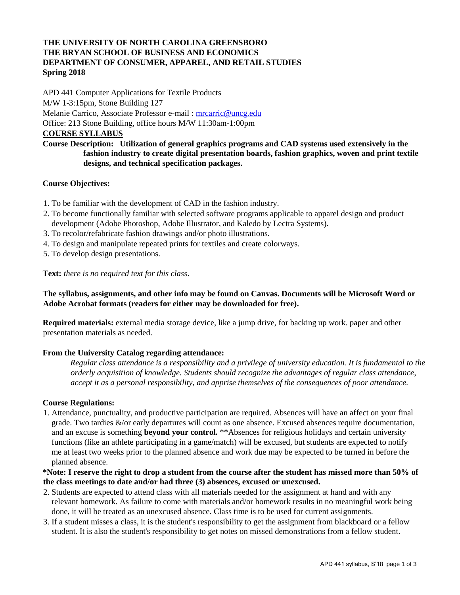# **THE UNIVERSITY OF NORTH CAROLINA GREENSBORO THE BRYAN SCHOOL OF BUSINESS AND ECONOMICS DEPARTMENT OF CONSUMER, APPAREL, AND RETAIL STUDIES Spring 2018**

APD 441 Computer Applications for Textile Products M/W 1-3:15pm, Stone Building 127 Melanie Carrico, Associate Professor e-mail : mrcarric@uncg.edu Office: 213 Stone Building, office hours M/W 11:30am-1:00pm **COURSE SYLLABUS**

# **Course Description: Utilization of general graphics programs and CAD systems used extensively in the fashion industry to create digital presentation boards, fashion graphics, woven and print textile designs, and technical specification packages.**

## **Course Objectives:**

- 1. To be familiar with the development of CAD in the fashion industry.
- 2. To become functionally familiar with selected software programs applicable to apparel design and product development (Adobe Photoshop, Adobe Illustrator, and Kaledo by Lectra Systems).
- 3. To recolor/refabricate fashion drawings and/or photo illustrations.
- 4. To design and manipulate repeated prints for textiles and create colorways.
- 5. To develop design presentations.

#### **Text:** *there is no required text for this class*.

## **The syllabus, assignments, and other info may be found on Canvas. Documents will be Microsoft Word or Adobe Acrobat formats (readers for either may be downloaded for free).**

**Required materials:** external media storage device, like a jump drive, for backing up work. paper and other presentation materials as needed.

#### **From the University Catalog regarding attendance:**

*Regular class attendance is a responsibility and a privilege of university education. It is fundamental to the orderly acquisition of knowledge. Students should recognize the advantages of regular class attendance, accept it as a personal responsibility, and apprise themselves of the consequences of poor attendance.* 

#### **Course Regulations:**

1. Attendance, punctuality, and productive participation are required. Absences will have an affect on your final grade. Two tardies &/or early departures will count as one absence. Excused absences require documentation, and an excuse is something **beyond your control.** \*\*Absences for religious holidays and certain university functions (like an athlete participating in a game/match) will be excused, but students are expected to notify me at least two weeks prior to the planned absence and work due may be expected to be turned in before the planned absence.

#### **\*Note: I reserve the right to drop a student from the course after the student has missed more than 50% of the class meetings to date and/or had three (3) absences, excused or unexcused.**

- 2. Students are expected to attend class with all materials needed for the assignment at hand and with any relevant homework. As failure to come with materials and/or homework results in no meaningful work being done, it will be treated as an unexcused absence. Class time is to be used for current assignments.
- 3. If a student misses a class, it is the student's responsibility to get the assignment from blackboard or a fellow student. It is also the student's responsibility to get notes on missed demonstrations from a fellow student.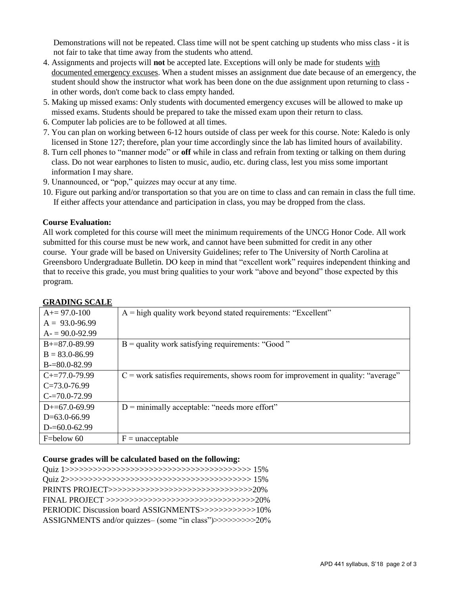Demonstrations will not be repeated. Class time will not be spent catching up students who miss class - it is not fair to take that time away from the students who attend.

- 4. Assignments and projects will **not** be accepted late. Exceptions will only be made for students with documented emergency excuses. When a student misses an assignment due date because of an emergency, the student should show the instructor what work has been done on the due assignment upon returning to class in other words, don't come back to class empty handed.
- 5. Making up missed exams: Only students with documented emergency excuses will be allowed to make up missed exams. Students should be prepared to take the missed exam upon their return to class.
- 6. Computer lab policies are to be followed at all times.
- 7. You can plan on working between 6-12 hours outside of class per week for this course. Note: Kaledo is only licensed in Stone 127; therefore, plan your time accordingly since the lab has limited hours of availability.
- 8. Turn cell phones to "manner mode" or **off** while in class and refrain from texting or talking on them during class. Do not wear earphones to listen to music, audio, etc. during class, lest you miss some important information I may share.
- 9. Unannounced, or "pop," quizzes may occur at any time.
- 10. Figure out parking and/or transportation so that you are on time to class and can remain in class the full time. If either affects your attendance and participation in class, you may be dropped from the class.

#### **Course Evaluation:**

All work completed for this course will meet the minimum requirements of the UNCG Honor Code. All work submitted for this course must be new work, and cannot have been submitted for credit in any other course. Your grade will be based on University Guidelines; refer to The University of North Carolina at Greensboro Undergraduate Bulletin. DO keep in mind that "excellent work" requires independent thinking and that to receive this grade, you must bring qualities to your work "above and beyond" those expected by this program.

| $A+=97.0-100$          | $A =$ high quality work beyond stated requirements: "Excellent"                     |
|------------------------|-------------------------------------------------------------------------------------|
| $A = 93.0 - 96.99$     |                                                                                     |
| $A = 90.0 - 92.99$     |                                                                                     |
| $B+=87.0-89.99$        | $B =$ quality work satisfying requirements: "Good"                                  |
| $B = 83.0 - 86.99$     |                                                                                     |
| $B = 80.0 - 82.99$     |                                                                                     |
| $C_{\pm}=77.0 - 79.99$ | $C$ = work satisfies requirements, shows room for improvement in quality: "average" |
| $C=73.0-76.99$         |                                                                                     |
| $C = 70.0 - 72.99$     |                                                                                     |
| $D+=67.0-69.99$        | $D =$ minimally acceptable: "needs more effort"                                     |
| $D=63.0-66.99$         |                                                                                     |
| $D = 60.0 - 62.99$     |                                                                                     |
| F=below 60             | $F =$ unacceptable                                                                  |

#### **GRADING SCALE**

#### **Course grades will be calculated based on the following:**

| PERIODIC Discussion board ASSIGNMENTS>>>>>>>>>>>>>>>>>10%  |
|------------------------------------------------------------|
| ASSIGNMENTS and/or quizzes- (some "in class")>>>>>>>>>>20% |